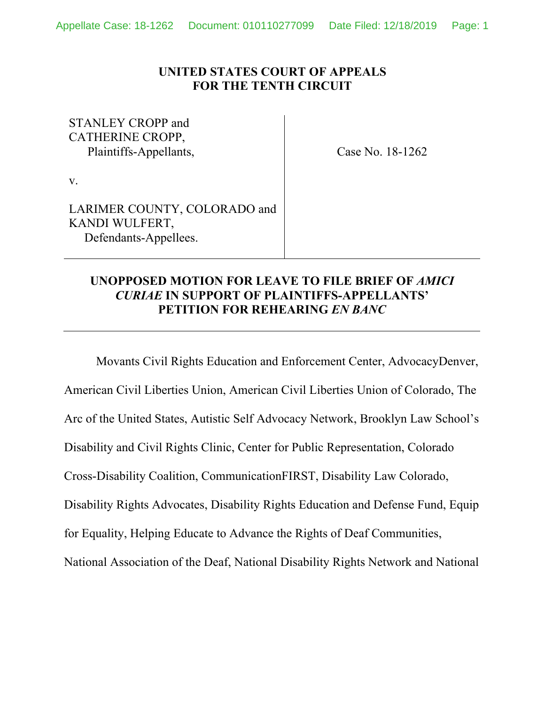### **UNITED STATES COURT OF APPEALS FOR THE TENTH CIRCUIT**

### STANLEY CROPP and CATHERINE CROPP, Plaintiffs-Appellants,

Case No. 18-1262

v.

LARIMER COUNTY, COLORADO and KANDI WULFERT, Defendants-Appellees.

# **UNOPPOSED MOTION FOR LEAVE TO FILE BRIEF OF** *AMICI CURIAE* **IN SUPPORT OF PLAINTIFFS-APPELLANTS' PETITION FOR REHEARING** *EN BANC*

 Movants Civil Rights Education and Enforcement Center, AdvocacyDenver, American Civil Liberties Union, American Civil Liberties Union of Colorado, The Arc of the United States, Autistic Self Advocacy Network, Brooklyn Law School's Disability and Civil Rights Clinic, Center for Public Representation, Colorado Cross-Disability Coalition, CommunicationFIRST, Disability Law Colorado, Disability Rights Advocates, Disability Rights Education and Defense Fund, Equip for Equality, Helping Educate to Advance the Rights of Deaf Communities, National Association of the Deaf, National Disability Rights Network and National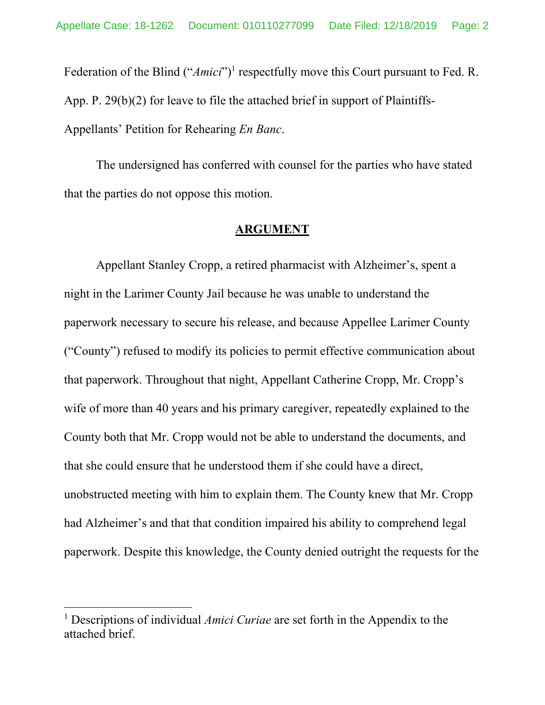Federation of the Blind ("*Amici*")<sup>1</sup> respectfully move this Court pursuant to Fed. R. App. P. 29(b)(2) for leave to file the attached brief in support of Plaintiffs-Appellants' Petition for Rehearing *En Banc*.

 The undersigned has conferred with counsel for the parties who have stated that the parties do not oppose this motion.

#### **ARGUMENT**

Appellant Stanley Cropp, a retired pharmacist with Alzheimer's, spent a night in the Larimer County Jail because he was unable to understand the paperwork necessary to secure his release, and because Appellee Larimer County ("County") refused to modify its policies to permit effective communication about that paperwork. Throughout that night, Appellant Catherine Cropp, Mr. Cropp's wife of more than 40 years and his primary caregiver, repeatedly explained to the County both that Mr. Cropp would not be able to understand the documents, and that she could ensure that he understood them if she could have a direct, unobstructed meeting with him to explain them. The County knew that Mr. Cropp had Alzheimer's and that that condition impaired his ability to comprehend legal paperwork. Despite this knowledge, the County denied outright the requests for the

<sup>&</sup>lt;sup>1</sup> Descriptions of individual *Amici Curiae* are set forth in the Appendix to the attached brief.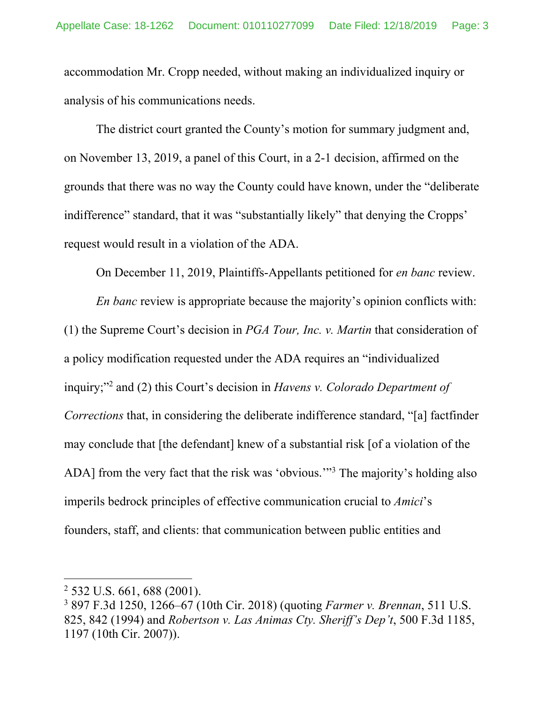accommodation Mr. Cropp needed, without making an individualized inquiry or analysis of his communications needs.

The district court granted the County's motion for summary judgment and, on November 13, 2019, a panel of this Court, in a 2-1 decision, affirmed on the grounds that there was no way the County could have known, under the "deliberate indifference" standard, that it was "substantially likely" that denying the Cropps' request would result in a violation of the ADA.

On December 11, 2019, Plaintiffs-Appellants petitioned for *en banc* review.

*En banc* review is appropriate because the majority's opinion conflicts with: (1) the Supreme Court's decision in *PGA Tour, Inc. v. Martin* that consideration of a policy modification requested under the ADA requires an "individualized inquiry;"2 and (2) this Court's decision in *Havens v. Colorado Department of Corrections* that, in considering the deliberate indifference standard, "[a] factfinder may conclude that [the defendant] knew of a substantial risk [of a violation of the ADA] from the very fact that the risk was 'obvious."<sup>3</sup> The majority's holding also imperils bedrock principles of effective communication crucial to *Amici*'s founders, staff, and clients: that communication between public entities and

<sup>2</sup> 532 U.S. 661, 688 (2001).

<sup>3</sup> 897 F.3d 1250, 1266–67 (10th Cir. 2018) (quoting *Farmer v. Brennan*, 511 U.S. 825, 842 (1994) and *Robertson v. Las Animas Cty. Sheriff's Dep't*, 500 F.3d 1185, 1197 (10th Cir. 2007)).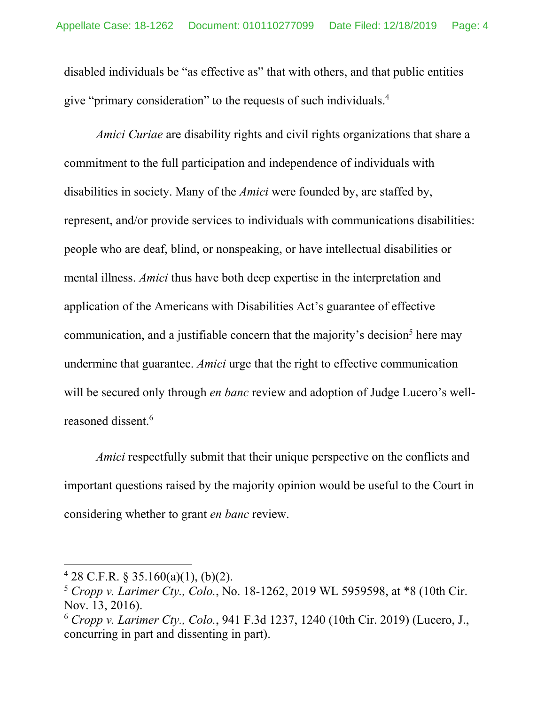disabled individuals be "as effective as" that with others, and that public entities give "primary consideration" to the requests of such individuals.<sup>4</sup>

*Amici Curiae* are disability rights and civil rights organizations that share a commitment to the full participation and independence of individuals with disabilities in society. Many of the *Amici* were founded by, are staffed by, represent, and/or provide services to individuals with communications disabilities: people who are deaf, blind, or nonspeaking, or have intellectual disabilities or mental illness. *Amici* thus have both deep expertise in the interpretation and application of the Americans with Disabilities Act's guarantee of effective communication, and a justifiable concern that the majority's decision<sup>5</sup> here may undermine that guarantee. *Amici* urge that the right to effective communication will be secured only through *en banc* review and adoption of Judge Lucero's wellreasoned dissent.6

*Amici* respectfully submit that their unique perspective on the conflicts and important questions raised by the majority opinion would be useful to the Court in considering whether to grant *en banc* review.

 $428$  C.F.R. § 35.160(a)(1), (b)(2).

<sup>5</sup> *Cropp v. Larimer Cty., Colo.*, No. 18-1262, 2019 WL 5959598, at \*8 (10th Cir. Nov. 13, 2016).

<sup>6</sup> *Cropp v. Larimer Cty., Colo.*, 941 F.3d 1237, 1240 (10th Cir. 2019) (Lucero, J., concurring in part and dissenting in part).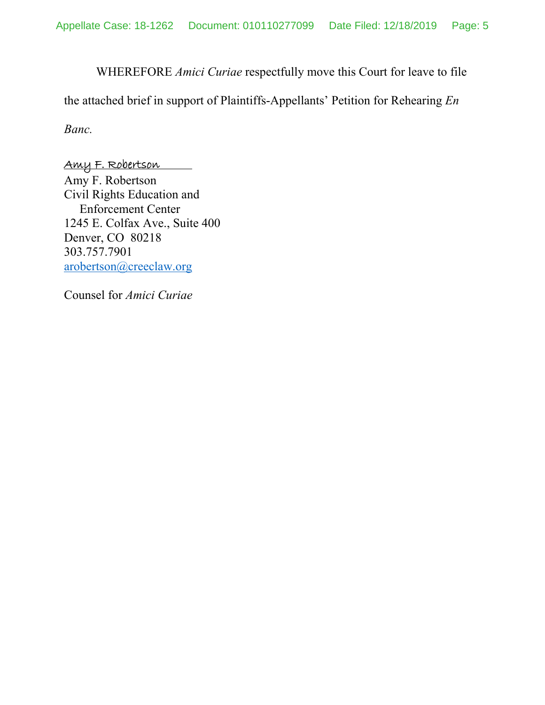WHEREFORE *Amici Curiae* respectfully move this Court for leave to file

the attached brief in support of Plaintiffs-Appellants' Petition for Rehearing *En* 

*Banc.*

### Amy F. Robertson

Amy F. Robertson Civil Rights Education and Enforcement Center 1245 E. Colfax Ave., Suite 400 Denver, CO 80218 303.757.7901 arobertson@creeclaw.org

Counsel for *Amici Curiae*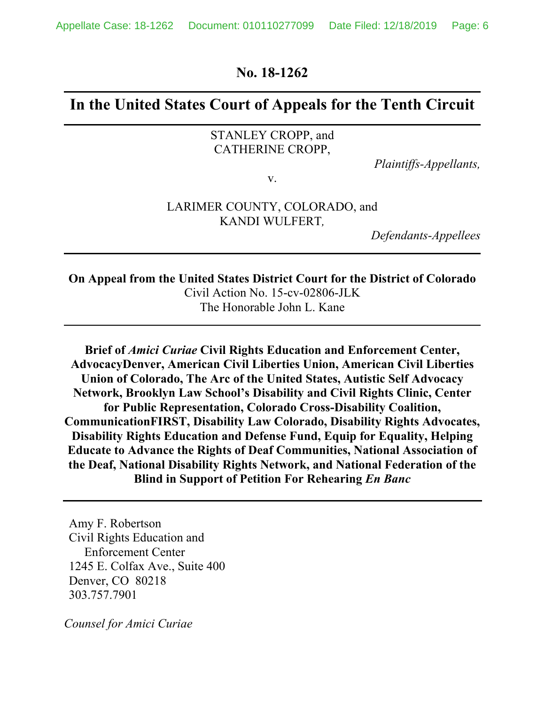**No. 18-1262** 

# **In the United States Court of Appeals for the Tenth Circuit**

#### STANLEY CROPP, and CATHERINE CROPP,

*Plaintiffs-Appellants,* 

v.

#### LARIMER COUNTY, COLORADO, and KANDI WULFERT*,*

*Defendants-Appellees* 

**On Appeal from the United States District Court for the District of Colorado**  Civil Action No. 15-cv-02806-JLK The Honorable John L. Kane

**Brief of** *Amici Curiae* **Civil Rights Education and Enforcement Center, AdvocacyDenver, American Civil Liberties Union, American Civil Liberties Union of Colorado, The Arc of the United States, Autistic Self Advocacy Network, Brooklyn Law School's Disability and Civil Rights Clinic, Center for Public Representation, Colorado Cross-Disability Coalition, CommunicationFIRST, Disability Law Colorado, Disability Rights Advocates, Disability Rights Education and Defense Fund, Equip for Equality, Helping Educate to Advance the Rights of Deaf Communities, National Association of the Deaf, National Disability Rights Network, and National Federation of the Blind in Support of Petition For Rehearing** *En Banc*

Amy F. Robertson Civil Rights Education and Enforcement Center 1245 E. Colfax Ave., Suite 400 Denver, CO 80218 303.757.7901

*Counsel for Amici Curiae*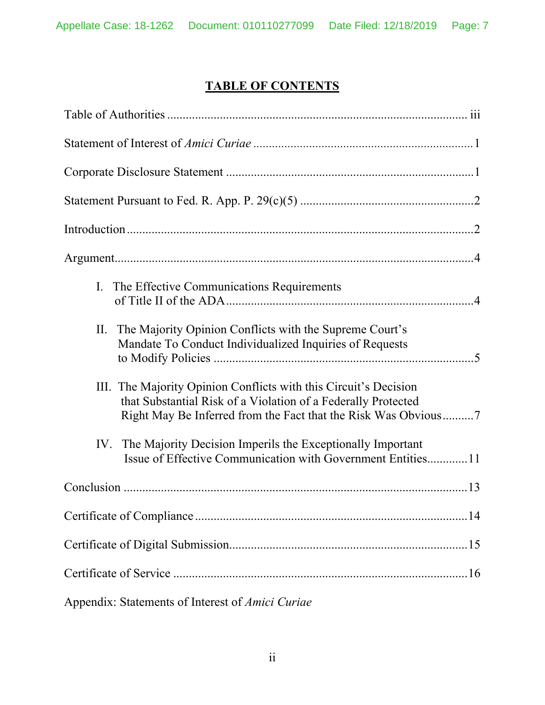# **TABLE OF CONTENTS**

| I. The Effective Communications Requirements                                                                                                                                                        |  |  |
|-----------------------------------------------------------------------------------------------------------------------------------------------------------------------------------------------------|--|--|
| The Majority Opinion Conflicts with the Supreme Court's<br>П.<br>Mandate To Conduct Individualized Inquiries of Requests                                                                            |  |  |
| III. The Majority Opinion Conflicts with this Circuit's Decision<br>that Substantial Risk of a Violation of a Federally Protected<br>Right May Be Inferred from the Fact that the Risk Was Obvious7 |  |  |
| The Majority Decision Imperils the Exceptionally Important<br>IV.<br>Issue of Effective Communication with Government Entities11                                                                    |  |  |
|                                                                                                                                                                                                     |  |  |
|                                                                                                                                                                                                     |  |  |
|                                                                                                                                                                                                     |  |  |
|                                                                                                                                                                                                     |  |  |
| Appendix: Statements of Interest of Amici Curiae                                                                                                                                                    |  |  |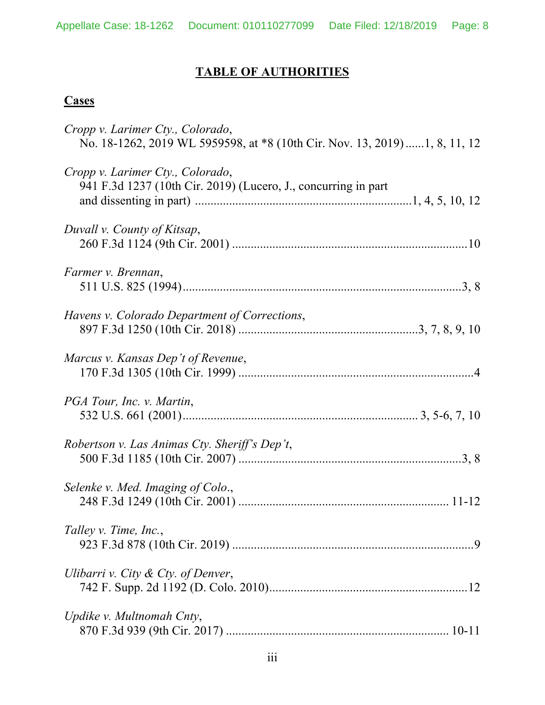# **TABLE OF AUTHORITIES**

# **Cases**

| Cropp v. Larimer Cty., Colorado,<br>No. 18-1262, 2019 WL 5959598, at *8 (10th Cir. Nov. 13, 2019) 1, 8, 11, 12 |
|----------------------------------------------------------------------------------------------------------------|
| Cropp v. Larimer Cty., Colorado,<br>941 F.3d 1237 (10th Cir. 2019) (Lucero, J., concurring in part             |
| Duvall v. County of Kitsap,                                                                                    |
| Farmer v. Brennan,                                                                                             |
| Havens v. Colorado Department of Corrections,                                                                  |
| Marcus v. Kansas Dep't of Revenue,                                                                             |
| PGA Tour, Inc. v. Martin,                                                                                      |
| Robertson v. Las Animas Cty. Sheriff's Dep't,                                                                  |
| Selenke v. Med. Imaging of Colo.,                                                                              |
| Talley v. Time, Inc.,                                                                                          |
| Ulibarri v. City $\&$ Cty. of Denver,                                                                          |
| Updike v. Multnomah Cnty,                                                                                      |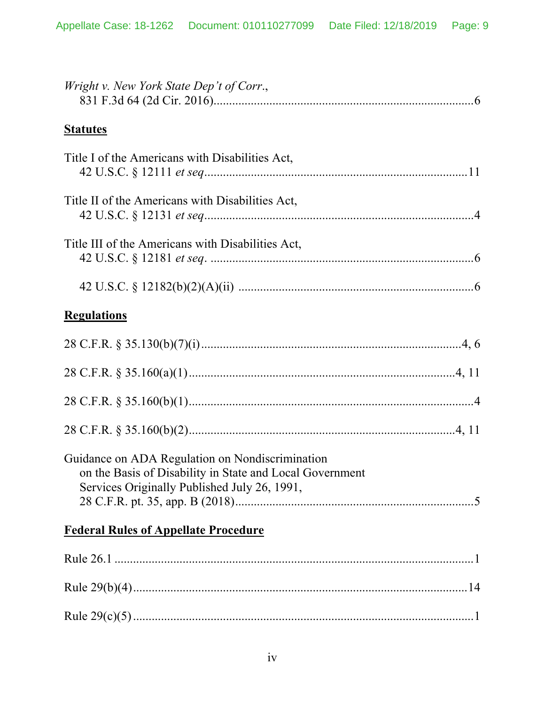| Wright v. New York State Dep't of Corr.,                                                                                                                    |
|-------------------------------------------------------------------------------------------------------------------------------------------------------------|
| <b>Statutes</b>                                                                                                                                             |
| Title I of the Americans with Disabilities Act,                                                                                                             |
| Title II of the Americans with Disabilities Act,                                                                                                            |
| Title III of the Americans with Disabilities Act,                                                                                                           |
|                                                                                                                                                             |
| <b>Regulations</b>                                                                                                                                          |
|                                                                                                                                                             |
|                                                                                                                                                             |
|                                                                                                                                                             |
|                                                                                                                                                             |
| Guidance on ADA Regulation on Nondiscrimination<br>on the Basis of Disability in State and Local Government<br>Services Originally Published July 26, 1991, |
| <b>Federal Rules of Appellate Procedure</b>                                                                                                                 |
|                                                                                                                                                             |
|                                                                                                                                                             |
|                                                                                                                                                             |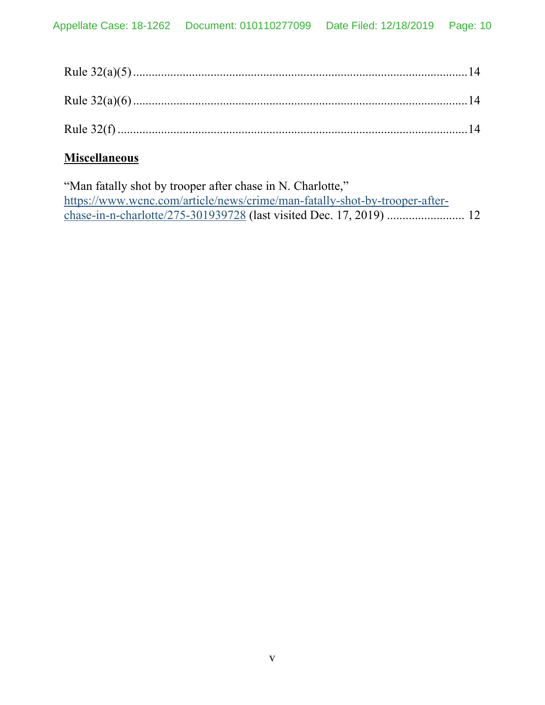# **Miscellaneous**

"Man fatally shot by trooper after chase in N. Charlotte," https://www.wcnc.com/article/news/crime/man-fatally-shot-by-trooper-afterchase-in-n-charlotte/275-301939728 (last visited Dec. 17, 2019) ......................... 12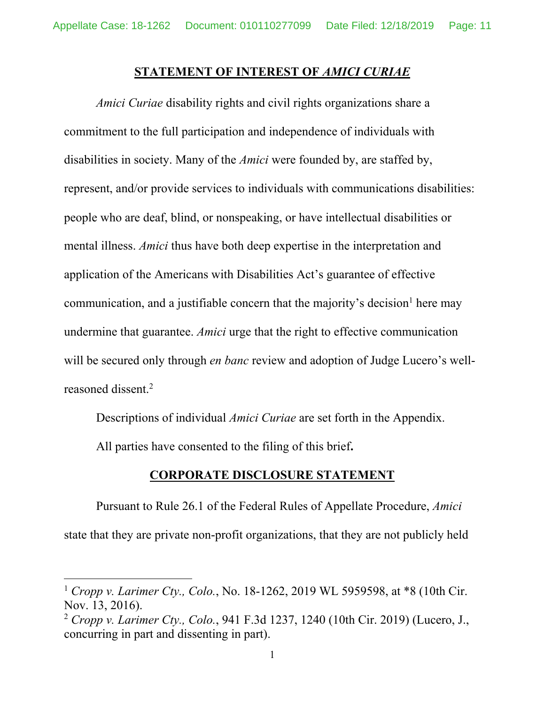#### **STATEMENT OF INTEREST OF** *AMICI CURIAE*

*Amici Curiae* disability rights and civil rights organizations share a commitment to the full participation and independence of individuals with disabilities in society. Many of the *Amici* were founded by, are staffed by, represent, and/or provide services to individuals with communications disabilities: people who are deaf, blind, or nonspeaking, or have intellectual disabilities or mental illness. *Amici* thus have both deep expertise in the interpretation and application of the Americans with Disabilities Act's guarantee of effective communication, and a justifiable concern that the majority's decision<sup>1</sup> here may undermine that guarantee. *Amici* urge that the right to effective communication will be secured only through *en banc* review and adoption of Judge Lucero's wellreasoned dissent.2

Descriptions of individual *Amici Curiae* are set forth in the Appendix.

All parties have consented to the filing of this brief**.**

 $\overline{a}$ 

#### **CORPORATE DISCLOSURE STATEMENT**

Pursuant to Rule 26.1 of the Federal Rules of Appellate Procedure, *Amici*  state that they are private non-profit organizations, that they are not publicly held

<sup>1</sup> *Cropp v. Larimer Cty., Colo.*, No. 18-1262, 2019 WL 5959598, at \*8 (10th Cir. Nov. 13, 2016).

<sup>2</sup> *Cropp v. Larimer Cty., Colo.*, 941 F.3d 1237, 1240 (10th Cir. 2019) (Lucero, J., concurring in part and dissenting in part).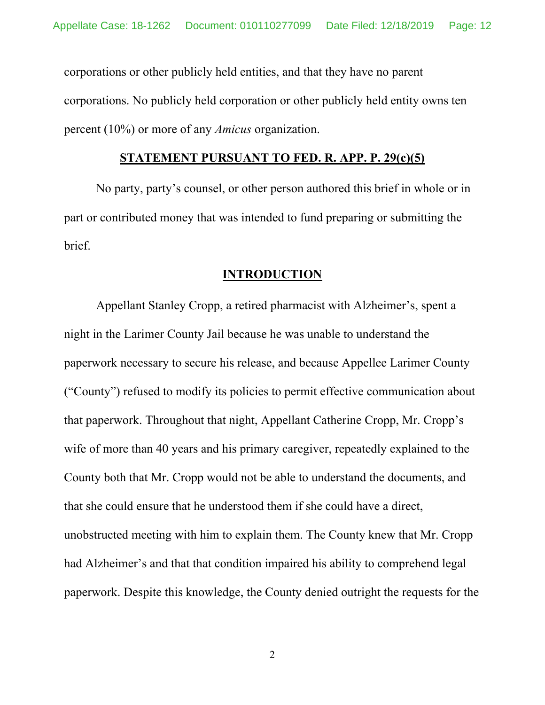corporations or other publicly held entities, and that they have no parent corporations. No publicly held corporation or other publicly held entity owns ten percent (10%) or more of any *Amicus* organization.

#### **STATEMENT PURSUANT TO FED. R. APP. P. 29(c)(5)**

No party, party's counsel, or other person authored this brief in whole or in part or contributed money that was intended to fund preparing or submitting the brief.

#### **INTRODUCTION**

Appellant Stanley Cropp, a retired pharmacist with Alzheimer's, spent a night in the Larimer County Jail because he was unable to understand the paperwork necessary to secure his release, and because Appellee Larimer County ("County") refused to modify its policies to permit effective communication about that paperwork. Throughout that night, Appellant Catherine Cropp, Mr. Cropp's wife of more than 40 years and his primary caregiver, repeatedly explained to the County both that Mr. Cropp would not be able to understand the documents, and that she could ensure that he understood them if she could have a direct, unobstructed meeting with him to explain them. The County knew that Mr. Cropp had Alzheimer's and that that condition impaired his ability to comprehend legal paperwork. Despite this knowledge, the County denied outright the requests for the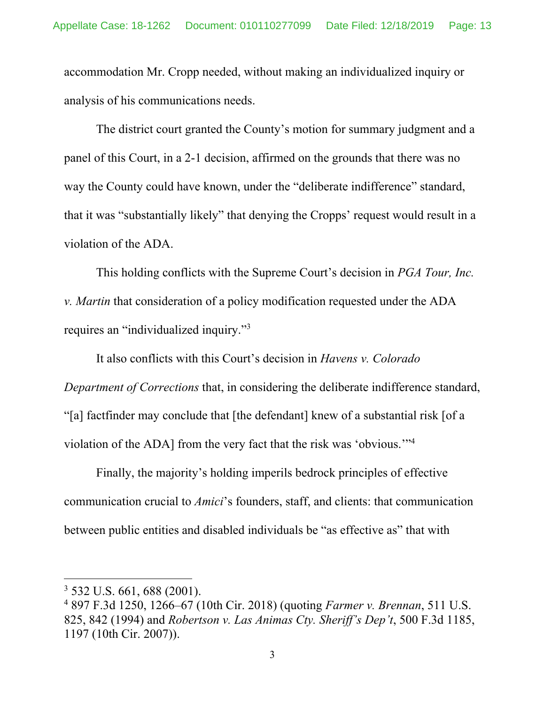accommodation Mr. Cropp needed, without making an individualized inquiry or analysis of his communications needs.

The district court granted the County's motion for summary judgment and a panel of this Court, in a 2-1 decision, affirmed on the grounds that there was no way the County could have known, under the "deliberate indifference" standard, that it was "substantially likely" that denying the Cropps' request would result in a violation of the ADA.

This holding conflicts with the Supreme Court's decision in *PGA Tour, Inc. v. Martin* that consideration of a policy modification requested under the ADA requires an "individualized inquiry."<sup>3</sup>

It also conflicts with this Court's decision in *Havens v. Colorado Department of Corrections* that, in considering the deliberate indifference standard, "[a] factfinder may conclude that [the defendant] knew of a substantial risk [of a violation of the ADA] from the very fact that the risk was 'obvious.'"4

Finally, the majority's holding imperils bedrock principles of effective communication crucial to *Amici*'s founders, staff, and clients: that communication between public entities and disabled individuals be "as effective as" that with

<sup>3</sup> 532 U.S. 661, 688 (2001).

<sup>4</sup> 897 F.3d 1250, 1266–67 (10th Cir. 2018) (quoting *Farmer v. Brennan*, 511 U.S. 825, 842 (1994) and *Robertson v. Las Animas Cty. Sheriff's Dep't*, 500 F.3d 1185, 1197 (10th Cir. 2007)).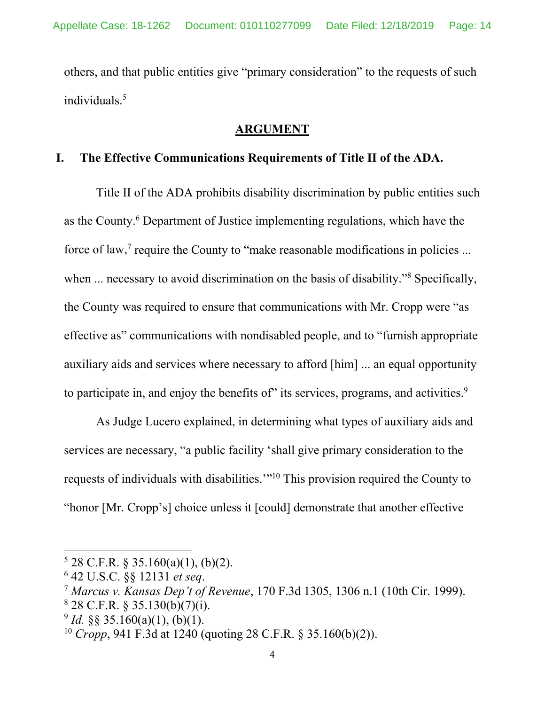others, and that public entities give "primary consideration" to the requests of such individuals.5

#### **ARGUMENT**

#### **I. The Effective Communications Requirements of Title II of the ADA.**

Title II of the ADA prohibits disability discrimination by public entities such as the County.<sup>6</sup> Department of Justice implementing regulations, which have the force of law,<sup>7</sup> require the County to "make reasonable modifications in policies ... when ... necessary to avoid discrimination on the basis of disability."<sup>8</sup> Specifically, the County was required to ensure that communications with Mr. Cropp were "as effective as" communications with nondisabled people, and to "furnish appropriate auxiliary aids and services where necessary to afford [him] ... an equal opportunity to participate in, and enjoy the benefits of its services, programs, and activities.<sup>9</sup>

As Judge Lucero explained, in determining what types of auxiliary aids and services are necessary, "a public facility 'shall give primary consideration to the requests of individuals with disabilities.'"10 This provision required the County to "honor [Mr. Cropp's] choice unless it [could] demonstrate that another effective

 $528$  C.F.R. § 35.160(a)(1), (b)(2).

<sup>&</sup>lt;sup>6</sup> 42 U.S.C. §§ 12131 et seq.

<sup>&</sup>lt;sup>7</sup> Marcus v. Kansas Dep't of Revenue, 170 F.3d 1305, 1306 n.1 (10th Cir. 1999).

 $828$  C.F.R. § 35.130(b)(7)(i).

 $^{9}$  *Id.* §§ 35.160(a)(1), (b)(1).

<sup>10</sup> *Cropp*, 941 F.3d at 1240 (quoting 28 C.F.R. § 35.160(b)(2)).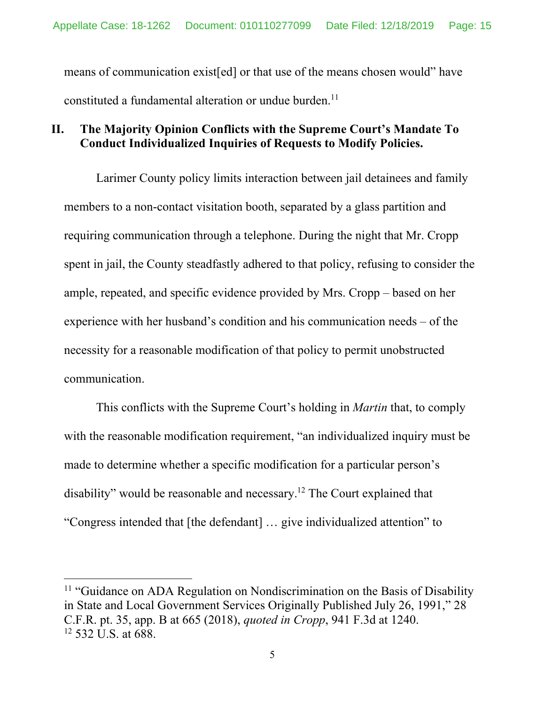means of communication exist[ed] or that use of the means chosen would" have constituted a fundamental alteration or undue burden. $^{11}$ 

## **II. The Majority Opinion Conflicts with the Supreme Court's Mandate To Conduct Individualized Inquiries of Requests to Modify Policies.**

Larimer County policy limits interaction between jail detainees and family members to a non-contact visitation booth, separated by a glass partition and requiring communication through a telephone. During the night that Mr. Cropp spent in jail, the County steadfastly adhered to that policy, refusing to consider the ample, repeated, and specific evidence provided by Mrs. Cropp – based on her experience with her husband's condition and his communication needs – of the necessity for a reasonable modification of that policy to permit unobstructed communication.

This conflicts with the Supreme Court's holding in *Martin* that, to comply with the reasonable modification requirement, "an individualized inquiry must be made to determine whether a specific modification for a particular person's disability" would be reasonable and necessary.12 The Court explained that "Congress intended that [the defendant] … give individualized attention" to

 $11$  "Guidance on ADA Regulation on Nondiscrimination on the Basis of Disability in State and Local Government Services Originally Published July 26, 1991," 28 C.F.R. pt. 35, app. B at 665 (2018), *quoted in Cropp*, 941 F.3d at 1240.  $12$  532 U.S. at 688.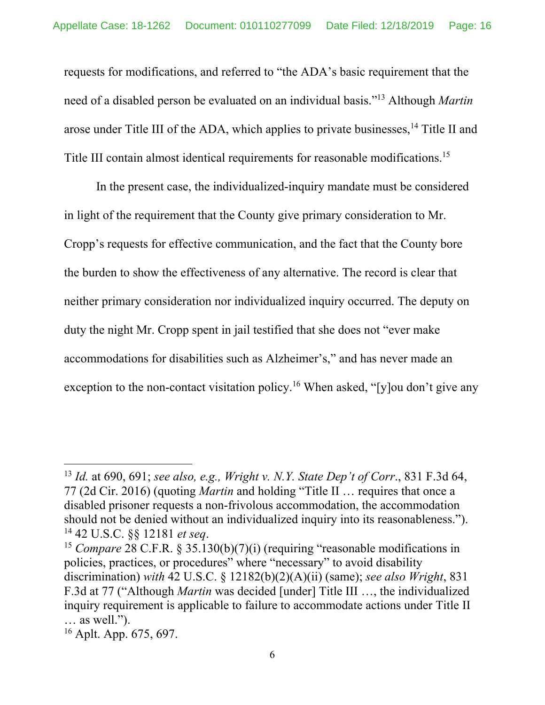requests for modifications, and referred to "the ADA's basic requirement that the need of a disabled person be evaluated on an individual basis."13 Although *Martin* arose under Title III of the ADA, which applies to private businesses,<sup>14</sup> Title II and Title III contain almost identical requirements for reasonable modifications.<sup>15</sup>

In the present case, the individualized-inquiry mandate must be considered in light of the requirement that the County give primary consideration to Mr. Cropp's requests for effective communication, and the fact that the County bore the burden to show the effectiveness of any alternative. The record is clear that neither primary consideration nor individualized inquiry occurred. The deputy on duty the night Mr. Cropp spent in jail testified that she does not "ever make accommodations for disabilities such as Alzheimer's," and has never made an exception to the non-contact visitation policy.<sup>16</sup> When asked, "[y]ou don't give any

<sup>13</sup> *Id.* at 690, 691; *see also, e.g., Wright v. N.Y. State Dep't of Corr*., 831 F.3d 64, 77 (2d Cir. 2016) (quoting *Martin* and holding "Title II … requires that once a disabled prisoner requests a non-frivolous accommodation, the accommodation should not be denied without an individualized inquiry into its reasonableness."). <sup>14</sup> 42 U.S.C. §§ 12181 *et seq*.<br><sup>15</sup> *Compare* 28 C.F.R. § 35.130(b)(7)(i) (requiring "reasonable modifications in

policies, practices, or procedures" where "necessary" to avoid disability discrimination) *with* 42 U.S.C. § 12182(b)(2)(A)(ii) (same); *see also Wright*, 831 F.3d at 77 ("Although *Martin* was decided [under] Title III …, the individualized inquiry requirement is applicable to failure to accommodate actions under Title II … as well.").

<sup>16</sup> Aplt. App. 675, 697.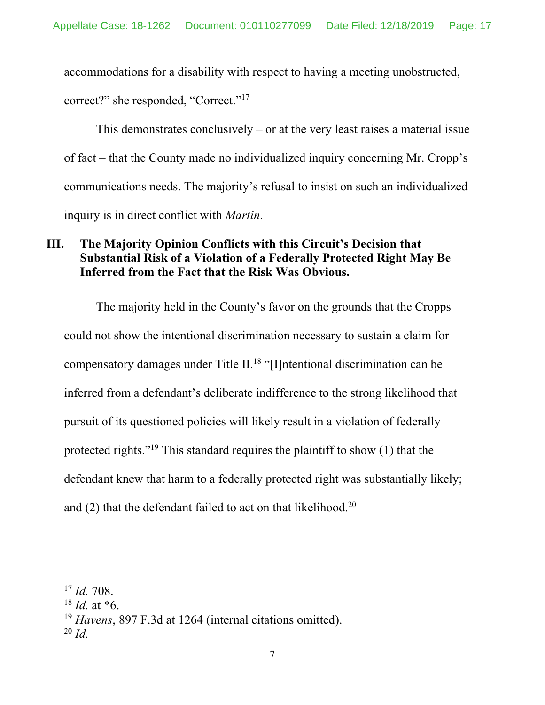accommodations for a disability with respect to having a meeting unobstructed, correct?" she responded, "Correct."17

This demonstrates conclusively  $-$  or at the very least raises a material issue of fact – that the County made no individualized inquiry concerning Mr. Cropp's communications needs. The majority's refusal to insist on such an individualized inquiry is in direct conflict with *Martin*.

## **III. The Majority Opinion Conflicts with this Circuit's Decision that Substantial Risk of a Violation of a Federally Protected Right May Be Inferred from the Fact that the Risk Was Obvious.**

The majority held in the County's favor on the grounds that the Cropps could not show the intentional discrimination necessary to sustain a claim for compensatory damages under Title II.18 "[I]ntentional discrimination can be inferred from a defendant's deliberate indifference to the strong likelihood that pursuit of its questioned policies will likely result in a violation of federally protected rights."19 This standard requires the plaintiff to show (1) that the defendant knew that harm to a federally protected right was substantially likely; and  $(2)$  that the defendant failed to act on that likelihood.<sup>20</sup>

<sup>17</sup> *Id.* 708.

 $18$  *Id.* at  $*6$ .

<sup>19</sup> *Havens*, 897 F.3d at 1264 (internal citations omitted).

<sup>20</sup> *Id.*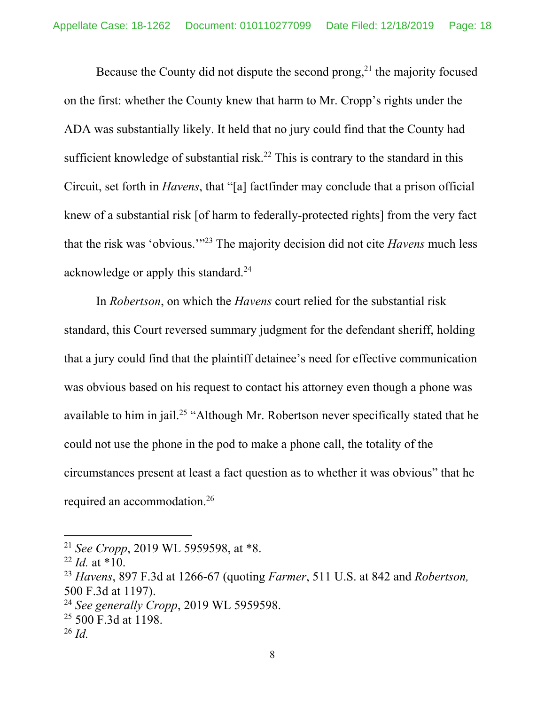Because the County did not dispute the second prong,<sup>21</sup> the majority focused on the first: whether the County knew that harm to Mr. Cropp's rights under the ADA was substantially likely. It held that no jury could find that the County had sufficient knowledge of substantial risk.<sup>22</sup> This is contrary to the standard in this Circuit, set forth in *Havens*, that "[a] factfinder may conclude that a prison official knew of a substantial risk [of harm to federally-protected rights] from the very fact that the risk was 'obvious.'"23 The majority decision did not cite *Havens* much less acknowledge or apply this standard.<sup>24</sup>

In *Robertson*, on which the *Havens* court relied for the substantial risk standard, this Court reversed summary judgment for the defendant sheriff, holding that a jury could find that the plaintiff detainee's need for effective communication was obvious based on his request to contact his attorney even though a phone was available to him in jail.<sup>25</sup> "Although Mr. Robertson never specifically stated that he could not use the phone in the pod to make a phone call, the totality of the circumstances present at least a fact question as to whether it was obvious" that he required an accommodation.26

<sup>21</sup> *See Cropp*, 2019 WL 5959598, at \*8.

 $^{22}$  *Id.* at \*10.

<sup>23</sup> *Havens*, 897 F.3d at 1266-67 (quoting *Farmer*, 511 U.S. at 842 and *Robertson,* 500 F.3d at 1197).

<sup>24</sup> *See generally Cropp*, 2019 WL 5959598.

<sup>&</sup>lt;sup>25</sup> 500 F.3d at 1198.

<sup>26</sup> *Id.*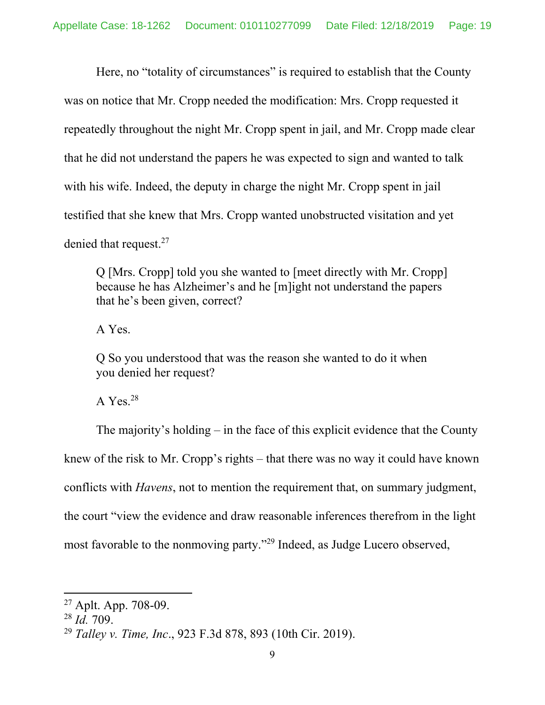Here, no "totality of circumstances" is required to establish that the County was on notice that Mr. Cropp needed the modification: Mrs. Cropp requested it repeatedly throughout the night Mr. Cropp spent in jail, and Mr. Cropp made clear that he did not understand the papers he was expected to sign and wanted to talk with his wife. Indeed, the deputy in charge the night Mr. Cropp spent in jail testified that she knew that Mrs. Cropp wanted unobstructed visitation and yet denied that request.27

Q [Mrs. Cropp] told you she wanted to [meet directly with Mr. Cropp] because he has Alzheimer's and he [m]ight not understand the papers that he's been given, correct?

A Yes.

Q So you understood that was the reason she wanted to do it when you denied her request?

A Yes. $28$ 

The majority's holding – in the face of this explicit evidence that the County knew of the risk to Mr. Cropp's rights – that there was no way it could have known conflicts with *Havens*, not to mention the requirement that, on summary judgment, the court "view the evidence and draw reasonable inferences therefrom in the light most favorable to the nonmoving party."29 Indeed, as Judge Lucero observed,

<sup>27</sup> Aplt. App. 708-09.

<sup>28</sup> *Id.* 709.

<sup>29</sup> *Talley v. Time, Inc*., 923 F.3d 878, 893 (10th Cir. 2019).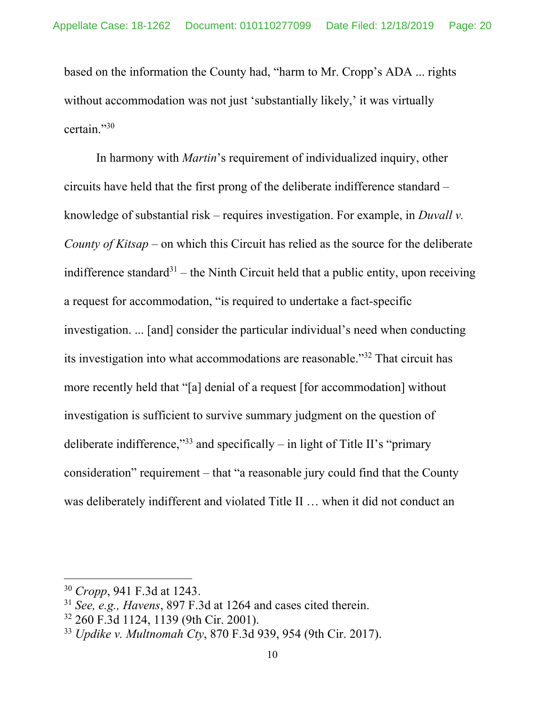based on the information the County had, "harm to Mr. Cropp's ADA ... rights without accommodation was not just 'substantially likely,' it was virtually certain."30

In harmony with *Martin*'s requirement of individualized inquiry, other circuits have held that the first prong of the deliberate indifference standard – knowledge of substantial risk – requires investigation. For example, in *Duvall v. County of Kitsap* – on which this Circuit has relied as the source for the deliberate indifference standard<sup>31</sup> – the Ninth Circuit held that a public entity, upon receiving a request for accommodation, "is required to undertake a fact-specific investigation. ... [and] consider the particular individual's need when conducting its investigation into what accommodations are reasonable."32 That circuit has more recently held that "[a] denial of a request [for accommodation] without investigation is sufficient to survive summary judgment on the question of deliberate indifference,"<sup>33</sup> and specifically – in light of Title II's "primary consideration" requirement – that "a reasonable jury could find that the County was deliberately indifferent and violated Title II … when it did not conduct an

<sup>30</sup> *Cropp*, 941 F.3d at 1243.

<sup>31</sup> *See, e.g., Havens*, 897 F.3d at 1264 and cases cited therein.

<sup>32 260</sup> F.3d 1124, 1139 (9th Cir. 2001).

<sup>33</sup> *Updike v. Multnomah Cty*, 870 F.3d 939, 954 (9th Cir. 2017).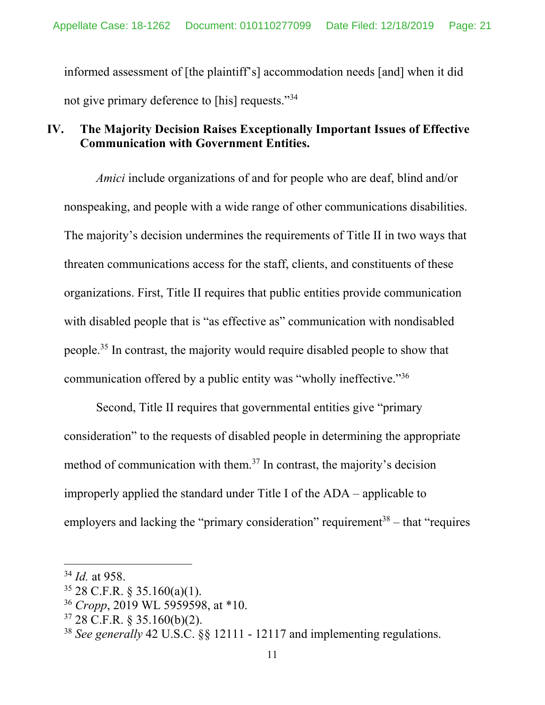informed assessment of [the plaintiff's] accommodation needs [and] when it did not give primary deference to [his] requests."34

## **IV. The Majority Decision Raises Exceptionally Important Issues of Effective Communication with Government Entities.**

*Amici* include organizations of and for people who are deaf, blind and/or nonspeaking, and people with a wide range of other communications disabilities. The majority's decision undermines the requirements of Title II in two ways that threaten communications access for the staff, clients, and constituents of these organizations. First, Title II requires that public entities provide communication with disabled people that is "as effective as" communication with nondisabled people.35 In contrast, the majority would require disabled people to show that communication offered by a public entity was "wholly ineffective."36

Second, Title II requires that governmental entities give "primary consideration" to the requests of disabled people in determining the appropriate method of communication with them.37 In contrast, the majority's decision improperly applied the standard under Title I of the ADA – applicable to employers and lacking the "primary consideration" requirement<sup>38</sup> – that "requires"

<sup>34</sup> *Id.* at 958.

<sup>35 28</sup> C.F.R. § 35.160(a)(1).

<sup>36</sup> *Cropp*, 2019 WL 5959598, at \*10.

 $37$  28 C.F.R. § 35.160(b)(2).

<sup>38</sup> *See generally* 42 U.S.C. §§ 12111 - 12117 and implementing regulations.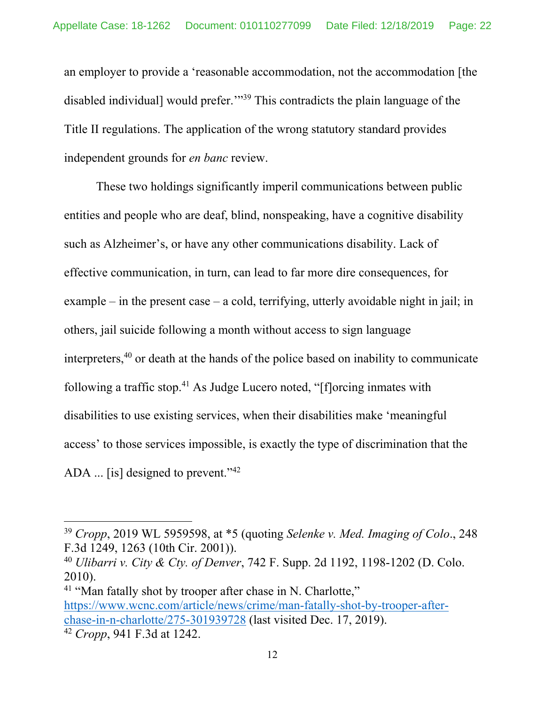an employer to provide a 'reasonable accommodation, not the accommodation [the disabled individual] would prefer."<sup>39</sup> This contradicts the plain language of the Title II regulations. The application of the wrong statutory standard provides independent grounds for *en banc* review.

These two holdings significantly imperil communications between public entities and people who are deaf, blind, nonspeaking, have a cognitive disability such as Alzheimer's, or have any other communications disability. Lack of effective communication, in turn, can lead to far more dire consequences, for example – in the present case – a cold, terrifying, utterly avoidable night in jail; in others, jail suicide following a month without access to sign language interpreters,40 or death at the hands of the police based on inability to communicate following a traffic stop.<sup>41</sup> As Judge Lucero noted, " $[$ f $]$ orcing inmates with disabilities to use existing services, when their disabilities make 'meaningful access' to those services impossible, is exactly the type of discrimination that the ADA ... [is] designed to prevent."<sup>42</sup>

<sup>39</sup> *Cropp*, 2019 WL 5959598, at \*5 (quoting *Selenke v. Med. Imaging of Colo*., 248 F.3d 1249, 1263 (10th Cir. 2001)).

<sup>40</sup> *Ulibarri v. City & Cty. of Denver*, 742 F. Supp. 2d 1192, 1198-1202 (D. Colo. 2010).

<sup>&</sup>lt;sup>41</sup> "Man fatally shot by trooper after chase in N. Charlotte," https://www.wcnc.com/article/news/crime/man-fatally-shot-by-trooper-afterchase-in-n-charlotte/275-301939728 (last visited Dec. 17, 2019).

<sup>42</sup> *Cropp*, 941 F.3d at 1242.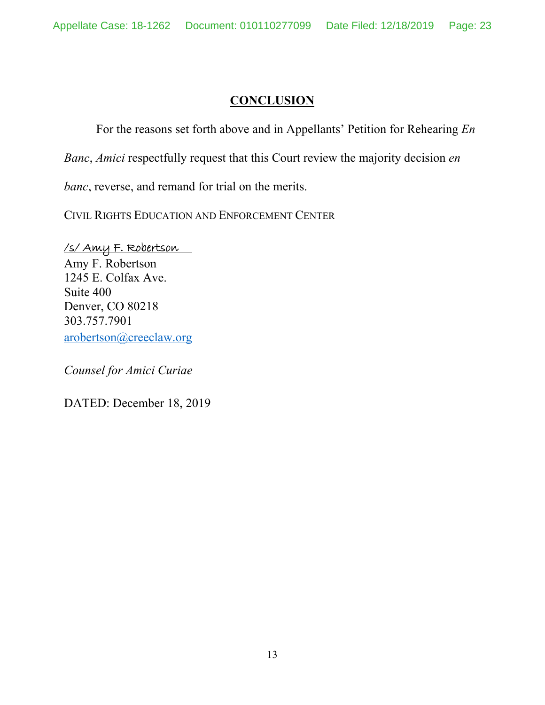# **CONCLUSION**

For the reasons set forth above and in Appellants' Petition for Rehearing *En* 

*Banc*, *Amici* respectfully request that this Court review the majority decision *en* 

*banc*, reverse, and remand for trial on the merits.

CIVIL RIGHTS EDUCATION AND ENFORCEMENT CENTER

/s/ Amy F. Robertson Amy F. Robertson 1245 E. Colfax Ave. Suite 400 Denver, CO 80218 303.757.7901 arobertson@creeclaw.org

*Counsel for Amici Curiae*

DATED: December 18, 2019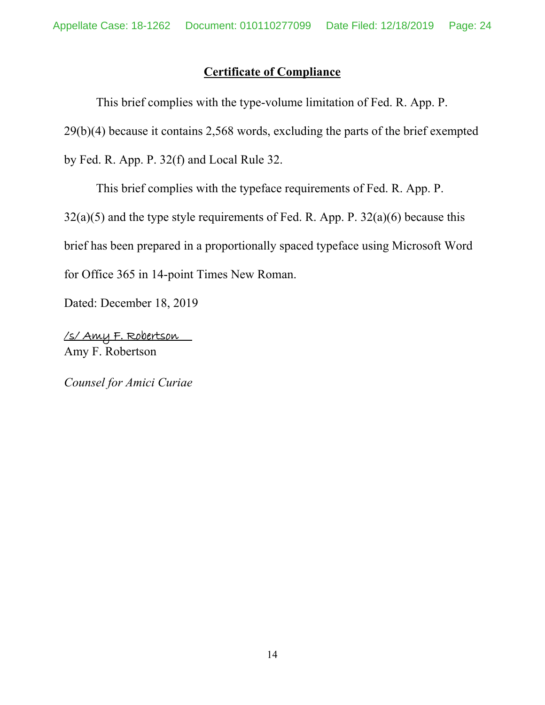# **Certificate of Compliance**

This brief complies with the type-volume limitation of Fed. R. App. P. 29(b)(4) because it contains 2,568 words, excluding the parts of the brief exempted by Fed. R. App. P. 32(f) and Local Rule 32.

This brief complies with the typeface requirements of Fed. R. App. P.  $32(a)(5)$  and the type style requirements of Fed. R. App. P.  $32(a)(6)$  because this brief has been prepared in a proportionally spaced typeface using Microsoft Word for Office 365 in 14-point Times New Roman.

Dated: December 18, 2019

/s/ Amy F. Robertson Amy F. Robertson

*Counsel for Amici Curiae*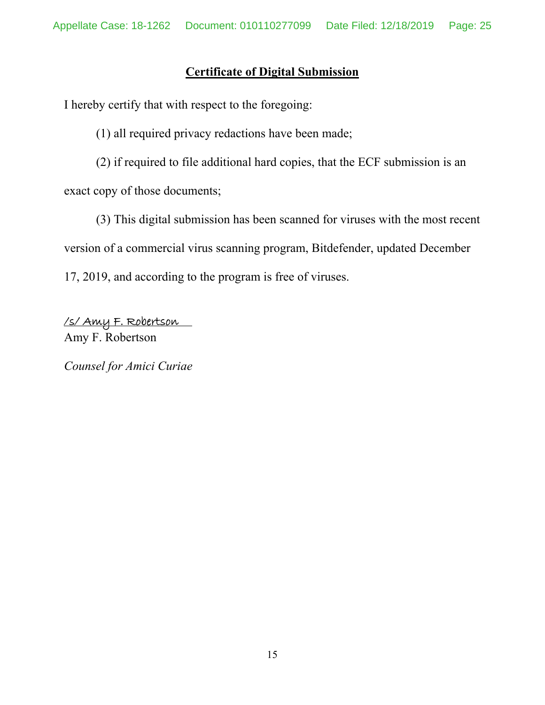# **Certificate of Digital Submission**

I hereby certify that with respect to the foregoing:

(1) all required privacy redactions have been made;

(2) if required to file additional hard copies, that the ECF submission is an exact copy of those documents;

(3) This digital submission has been scanned for viruses with the most recent version of a commercial virus scanning program, Bitdefender, updated December 17, 2019, and according to the program is free of viruses.

/s/ Amy F. Robertson Amy F. Robertson

*Counsel for Amici Curiae*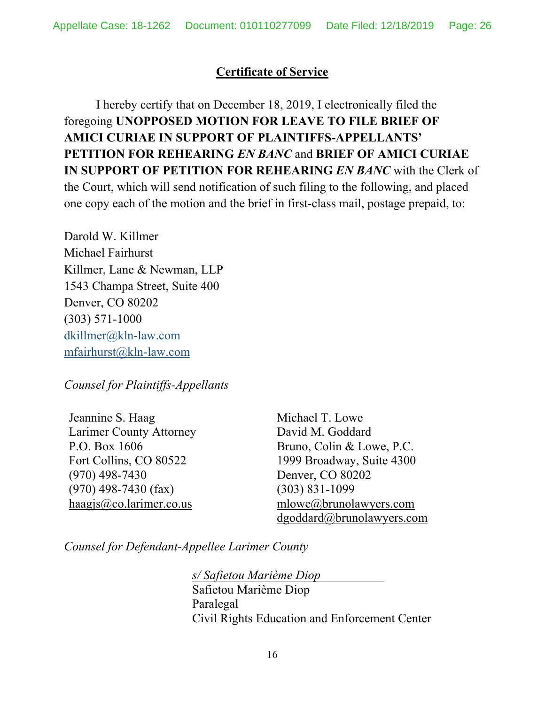# **Certificate of Service**

 I hereby certify that on December 18, 2019, I electronically filed the foregoing **UNOPPOSED MOTION FOR LEAVE TO FILE BRIEF OF AMICI CURIAE IN SUPPORT OF PLAINTIFFS-APPELLANTS' PETITION FOR REHEARING** *EN BANC* and **BRIEF OF AMICI CURIAE IN SUPPORT OF PETITION FOR REHEARING** *EN BANC* with the Clerk of the Court, which will send notification of such filing to the following, and placed one copy each of the motion and the brief in first-class mail, postage prepaid, to:

Darold W. Killmer Michael Fairhurst Killmer, Lane & Newman, LLP 1543 Champa Street, Suite 400 Denver, CO 80202 (303) 571-1000 dkillmer@kln-law.com mfairhurst@kln-law.com

*Counsel for Plaintiffs-Appellants* 

Jeannine S. Haag Larimer County Attorney P.O. Box 1606 Fort Collins, CO 80522 (970) 498-7430 (970) 498-7430 (fax)  $haagis@co.larimer.co.us$ 

Michael T. Lowe David M. Goddard Bruno, Colin & Lowe, P.C. 1999 Broadway, Suite 4300 Denver, CO 80202 (303) 831-1099 mlowe@brunolawyers.com dgoddard@brunolawyers.com

*Counsel for Defendant-Appellee Larimer County* 

 *s/ Safietou Marième Diop*  Safietou Marième Diop Paralegal Civil Rights Education and Enforcement Center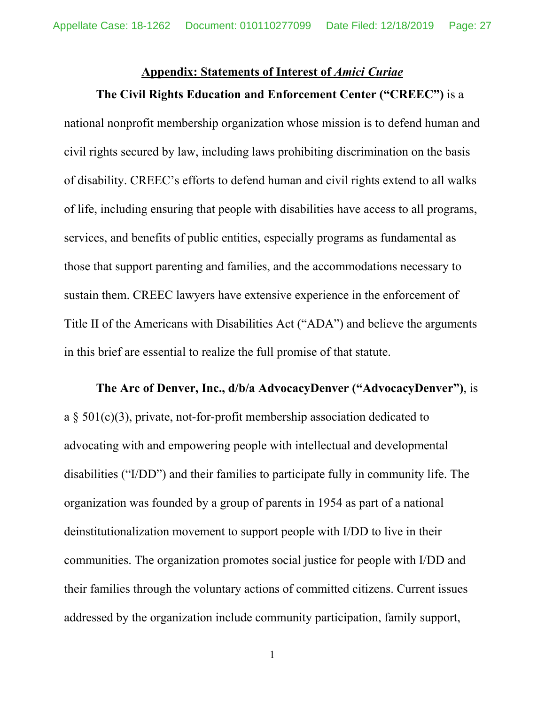# **Appendix: Statements of Interest of** *Amici Curiae* **The Civil Rights Education and Enforcement Center ("CREEC")** is a

national nonprofit membership organization whose mission is to defend human and civil rights secured by law, including laws prohibiting discrimination on the basis of disability. CREEC's efforts to defend human and civil rights extend to all walks of life, including ensuring that people with disabilities have access to all programs, services, and benefits of public entities, especially programs as fundamental as those that support parenting and families, and the accommodations necessary to sustain them. CREEC lawyers have extensive experience in the enforcement of Title II of the Americans with Disabilities Act ("ADA") and believe the arguments in this brief are essential to realize the full promise of that statute.

**The Arc of Denver, Inc., d/b/a AdvocacyDenver ("AdvocacyDenver")**, is a  $\S$  501(c)(3), private, not-for-profit membership association dedicated to advocating with and empowering people with intellectual and developmental disabilities ("I/DD") and their families to participate fully in community life. The organization was founded by a group of parents in 1954 as part of a national deinstitutionalization movement to support people with I/DD to live in their communities. The organization promotes social justice for people with I/DD and their families through the voluntary actions of committed citizens. Current issues addressed by the organization include community participation, family support,

1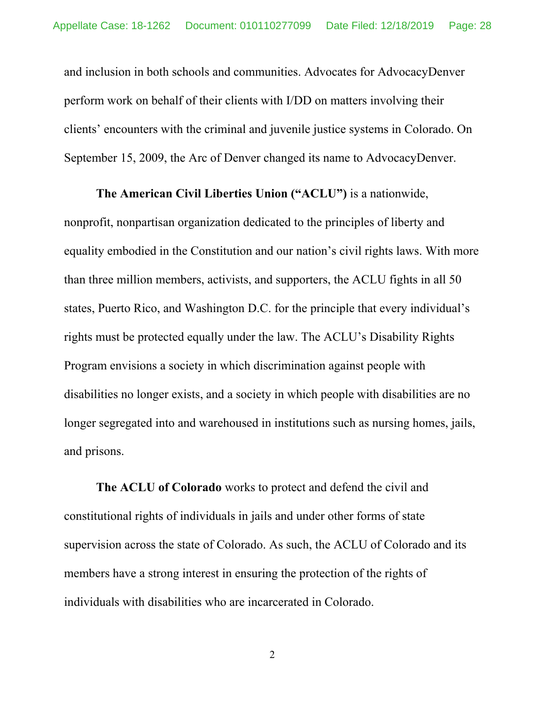and inclusion in both schools and communities. Advocates for AdvocacyDenver perform work on behalf of their clients with I/DD on matters involving their clients' encounters with the criminal and juvenile justice systems in Colorado. On September 15, 2009, the Arc of Denver changed its name to AdvocacyDenver.

#### **The American Civil Liberties Union ("ACLU")** is a nationwide,

nonprofit, nonpartisan organization dedicated to the principles of liberty and equality embodied in the Constitution and our nation's civil rights laws. With more than three million members, activists, and supporters, the ACLU fights in all 50 states, Puerto Rico, and Washington D.C. for the principle that every individual's rights must be protected equally under the law. The ACLU's Disability Rights Program envisions a society in which discrimination against people with disabilities no longer exists, and a society in which people with disabilities are no longer segregated into and warehoused in institutions such as nursing homes, jails, and prisons.

**The ACLU of Colorado** works to protect and defend the civil and constitutional rights of individuals in jails and under other forms of state supervision across the state of Colorado. As such, the ACLU of Colorado and its members have a strong interest in ensuring the protection of the rights of individuals with disabilities who are incarcerated in Colorado.

2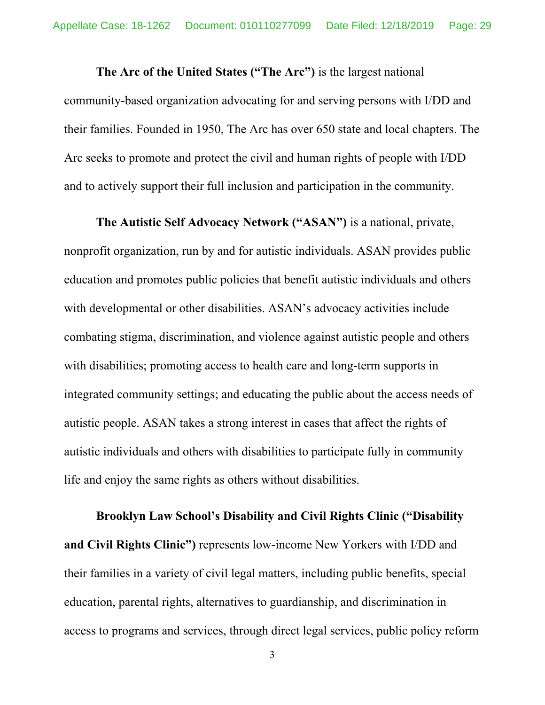**The Arc of the United States ("The Arc")** is the largest national community-based organization advocating for and serving persons with I/DD and their families. Founded in 1950, The Arc has over 650 state and local chapters. The Arc seeks to promote and protect the civil and human rights of people with I/DD and to actively support their full inclusion and participation in the community.

**The Autistic Self Advocacy Network ("ASAN")** is a national, private, nonprofit organization, run by and for autistic individuals. ASAN provides public education and promotes public policies that benefit autistic individuals and others with developmental or other disabilities. ASAN's advocacy activities include combating stigma, discrimination, and violence against autistic people and others with disabilities; promoting access to health care and long-term supports in integrated community settings; and educating the public about the access needs of autistic people. ASAN takes a strong interest in cases that affect the rights of autistic individuals and others with disabilities to participate fully in community life and enjoy the same rights as others without disabilities.

**Brooklyn Law School's Disability and Civil Rights Clinic ("Disability and Civil Rights Clinic")** represents low-income New Yorkers with I/DD and their families in a variety of civil legal matters, including public benefits, special education, parental rights, alternatives to guardianship, and discrimination in access to programs and services, through direct legal services, public policy reform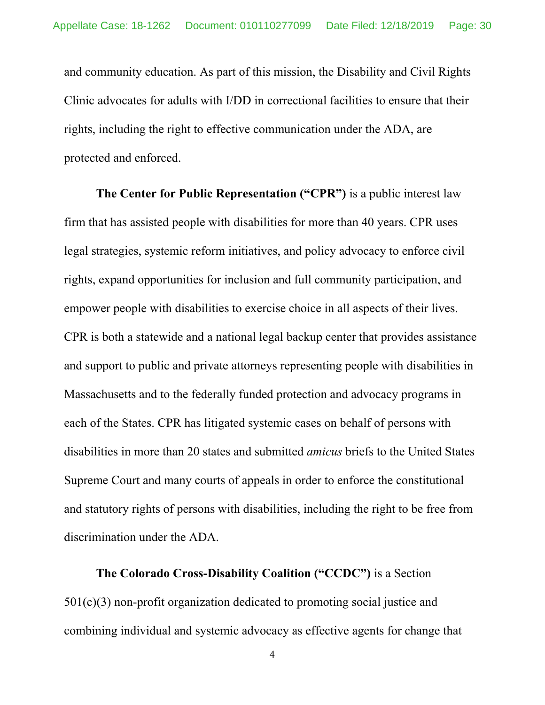and community education. As part of this mission, the Disability and Civil Rights Clinic advocates for adults with I/DD in correctional facilities to ensure that their rights, including the right to effective communication under the ADA, are protected and enforced.

**The Center for Public Representation ("CPR")** is a public interest law firm that has assisted people with disabilities for more than 40 years. CPR uses legal strategies, systemic reform initiatives, and policy advocacy to enforce civil rights, expand opportunities for inclusion and full community participation, and empower people with disabilities to exercise choice in all aspects of their lives. CPR is both a statewide and a national legal backup center that provides assistance and support to public and private attorneys representing people with disabilities in Massachusetts and to the federally funded protection and advocacy programs in each of the States. CPR has litigated systemic cases on behalf of persons with disabilities in more than 20 states and submitted *amicus* briefs to the United States Supreme Court and many courts of appeals in order to enforce the constitutional and statutory rights of persons with disabilities, including the right to be free from discrimination under the ADA.

**The Colorado Cross-Disability Coalition ("CCDC")** is a Section 501(c)(3) non-profit organization dedicated to promoting social justice and combining individual and systemic advocacy as effective agents for change that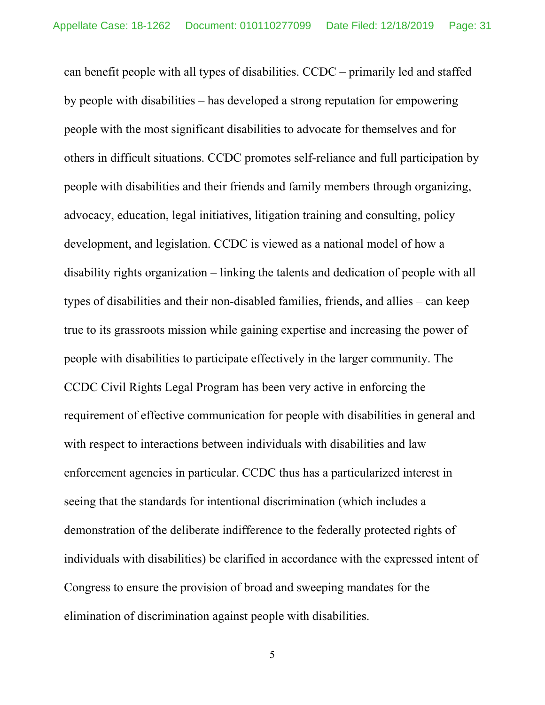can benefit people with all types of disabilities. CCDC – primarily led and staffed by people with disabilities – has developed a strong reputation for empowering people with the most significant disabilities to advocate for themselves and for others in difficult situations. CCDC promotes self-reliance and full participation by people with disabilities and their friends and family members through organizing, advocacy, education, legal initiatives, litigation training and consulting, policy development, and legislation. CCDC is viewed as a national model of how a disability rights organization – linking the talents and dedication of people with all types of disabilities and their non-disabled families, friends, and allies – can keep true to its grassroots mission while gaining expertise and increasing the power of people with disabilities to participate effectively in the larger community. The CCDC Civil Rights Legal Program has been very active in enforcing the requirement of effective communication for people with disabilities in general and with respect to interactions between individuals with disabilities and law enforcement agencies in particular. CCDC thus has a particularized interest in seeing that the standards for intentional discrimination (which includes a demonstration of the deliberate indifference to the federally protected rights of individuals with disabilities) be clarified in accordance with the expressed intent of Congress to ensure the provision of broad and sweeping mandates for the elimination of discrimination against people with disabilities.

5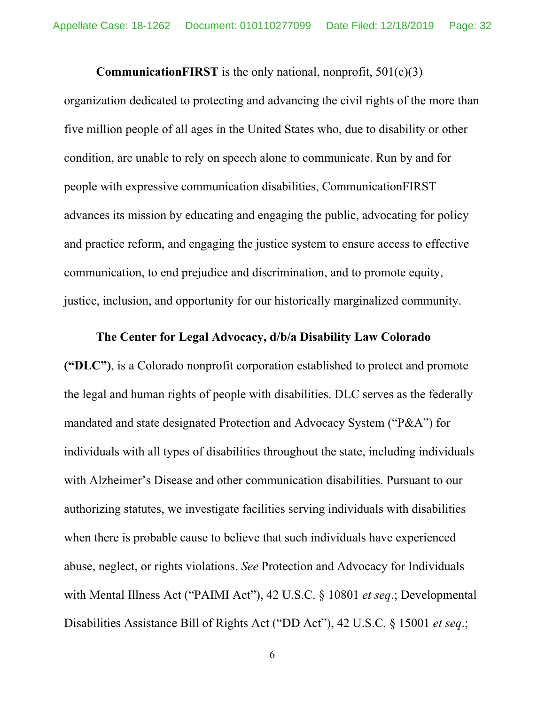**CommunicationFIRST** is the only national, nonprofit, 501(c)(3)

organization dedicated to protecting and advancing the civil rights of the more than five million people of all ages in the United States who, due to disability or other condition, are unable to rely on speech alone to communicate. Run by and for people with expressive communication disabilities, CommunicationFIRST advances its mission by educating and engaging the public, advocating for policy and practice reform, and engaging the justice system to ensure access to effective communication, to end prejudice and discrimination, and to promote equity, justice, inclusion, and opportunity for our historically marginalized community.

#### **The Center for Legal Advocacy, d/b/a Disability Law Colorado**

**("DLC")**, is a Colorado nonprofit corporation established to protect and promote the legal and human rights of people with disabilities. DLC serves as the federally mandated and state designated Protection and Advocacy System ("P&A") for individuals with all types of disabilities throughout the state, including individuals with Alzheimer's Disease and other communication disabilities. Pursuant to our authorizing statutes, we investigate facilities serving individuals with disabilities when there is probable cause to believe that such individuals have experienced abuse, neglect, or rights violations. *See* Protection and Advocacy for Individuals with Mental Illness Act ("PAIMI Act"), 42 U.S.C. § 10801 *et seq*.; Developmental Disabilities Assistance Bill of Rights Act ("DD Act"), 42 U.S.C. § 15001 *et seq*.;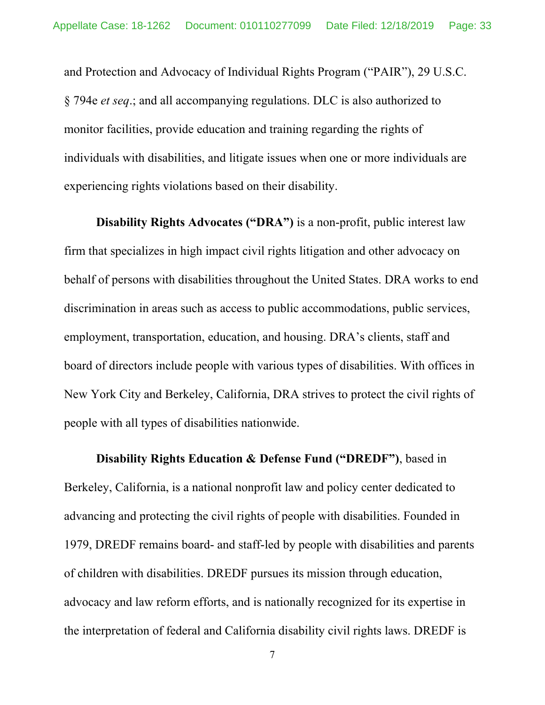and Protection and Advocacy of Individual Rights Program ("PAIR"), 29 U.S.C. § 794e *et seq*.; and all accompanying regulations. DLC is also authorized to monitor facilities, provide education and training regarding the rights of individuals with disabilities, and litigate issues when one or more individuals are experiencing rights violations based on their disability.

**Disability Rights Advocates ("DRA")** is a non-profit, public interest law firm that specializes in high impact civil rights litigation and other advocacy on behalf of persons with disabilities throughout the United States. DRA works to end discrimination in areas such as access to public accommodations, public services, employment, transportation, education, and housing. DRA's clients, staff and board of directors include people with various types of disabilities. With offices in New York City and Berkeley, California, DRA strives to protect the civil rights of people with all types of disabilities nationwide.

**Disability Rights Education & Defense Fund ("DREDF")**, based in Berkeley, California, is a national nonprofit law and policy center dedicated to advancing and protecting the civil rights of people with disabilities. Founded in 1979, DREDF remains board- and staff-led by people with disabilities and parents of children with disabilities. DREDF pursues its mission through education, advocacy and law reform efforts, and is nationally recognized for its expertise in the interpretation of federal and California disability civil rights laws. DREDF is

7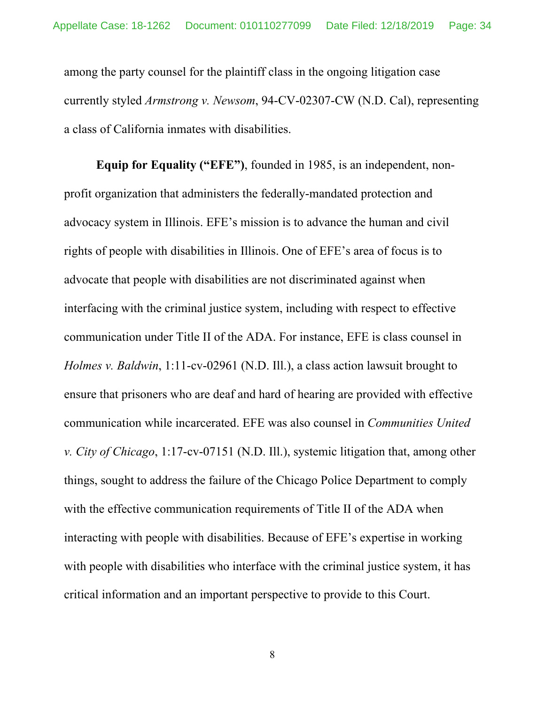among the party counsel for the plaintiff class in the ongoing litigation case currently styled *Armstrong v. Newsom*, 94-CV-02307-CW (N.D. Cal), representing a class of California inmates with disabilities.

**Equip for Equality ("EFE")**, founded in 1985, is an independent, nonprofit organization that administers the federally-mandated protection and advocacy system in Illinois. EFE's mission is to advance the human and civil rights of people with disabilities in Illinois. One of EFE's area of focus is to advocate that people with disabilities are not discriminated against when interfacing with the criminal justice system, including with respect to effective communication under Title II of the ADA. For instance, EFE is class counsel in *Holmes v. Baldwin*, 1:11-cv-02961 (N.D. Ill.), a class action lawsuit brought to ensure that prisoners who are deaf and hard of hearing are provided with effective communication while incarcerated. EFE was also counsel in *Communities United v. City of Chicago*, 1:17-cv-07151 (N.D. Ill.), systemic litigation that, among other things, sought to address the failure of the Chicago Police Department to comply with the effective communication requirements of Title II of the ADA when interacting with people with disabilities. Because of EFE's expertise in working with people with disabilities who interface with the criminal justice system, it has critical information and an important perspective to provide to this Court.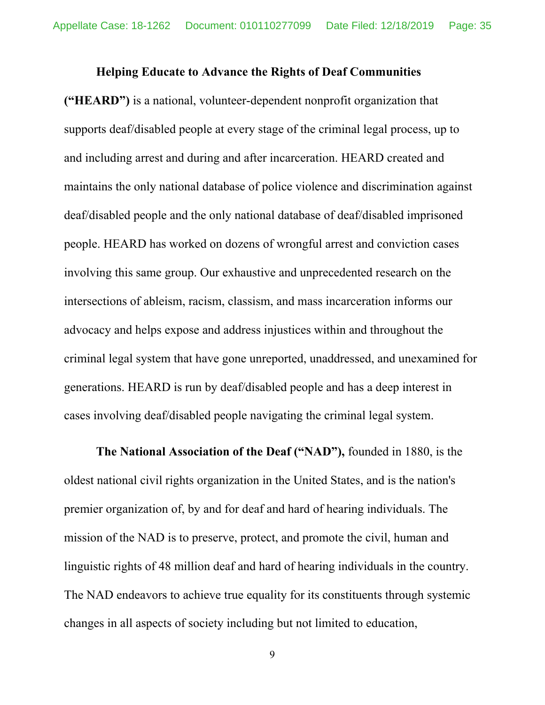#### **Helping Educate to Advance the Rights of Deaf Communities**

**("HEARD")** is a national, volunteer-dependent nonprofit organization that supports deaf/disabled people at every stage of the criminal legal process, up to and including arrest and during and after incarceration. HEARD created and maintains the only national database of police violence and discrimination against deaf/disabled people and the only national database of deaf/disabled imprisoned people. HEARD has worked on dozens of wrongful arrest and conviction cases involving this same group. Our exhaustive and unprecedented research on the intersections of ableism, racism, classism, and mass incarceration informs our advocacy and helps expose and address injustices within and throughout the criminal legal system that have gone unreported, unaddressed, and unexamined for generations. HEARD is run by deaf/disabled people and has a deep interest in cases involving deaf/disabled people navigating the criminal legal system.

**The National Association of the Deaf ("NAD"),** founded in 1880, is the oldest national civil rights organization in the United States, and is the nation's premier organization of, by and for deaf and hard of hearing individuals. The mission of the NAD is to preserve, protect, and promote the civil, human and linguistic rights of 48 million deaf and hard of hearing individuals in the country. The NAD endeavors to achieve true equality for its constituents through systemic changes in all aspects of society including but not limited to education,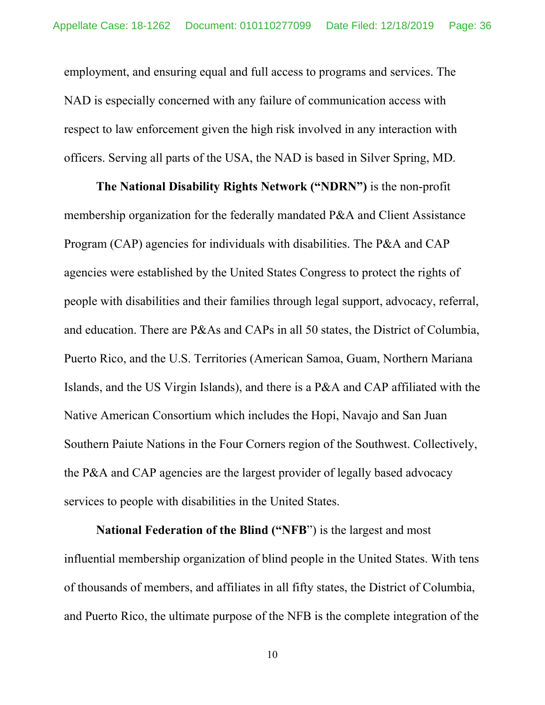employment, and ensuring equal and full access to programs and services. The NAD is especially concerned with any failure of communication access with respect to law enforcement given the high risk involved in any interaction with officers. Serving all parts of the USA, the NAD is based in Silver Spring, MD.

**The National Disability Rights Network ("NDRN")** is the non-profit membership organization for the federally mandated P&A and Client Assistance Program (CAP) agencies for individuals with disabilities. The P&A and CAP agencies were established by the United States Congress to protect the rights of people with disabilities and their families through legal support, advocacy, referral, and education. There are P&As and CAPs in all 50 states, the District of Columbia, Puerto Rico, and the U.S. Territories (American Samoa, Guam, Northern Mariana Islands, and the US Virgin Islands), and there is a P&A and CAP affiliated with the Native American Consortium which includes the Hopi, Navajo and San Juan Southern Paiute Nations in the Four Corners region of the Southwest. Collectively, the P&A and CAP agencies are the largest provider of legally based advocacy services to people with disabilities in the United States.

**National Federation of the Blind ("NFB**") is the largest and most influential membership organization of blind people in the United States. With tens of thousands of members, and affiliates in all fifty states, the District of Columbia, and Puerto Rico, the ultimate purpose of the NFB is the complete integration of the

10